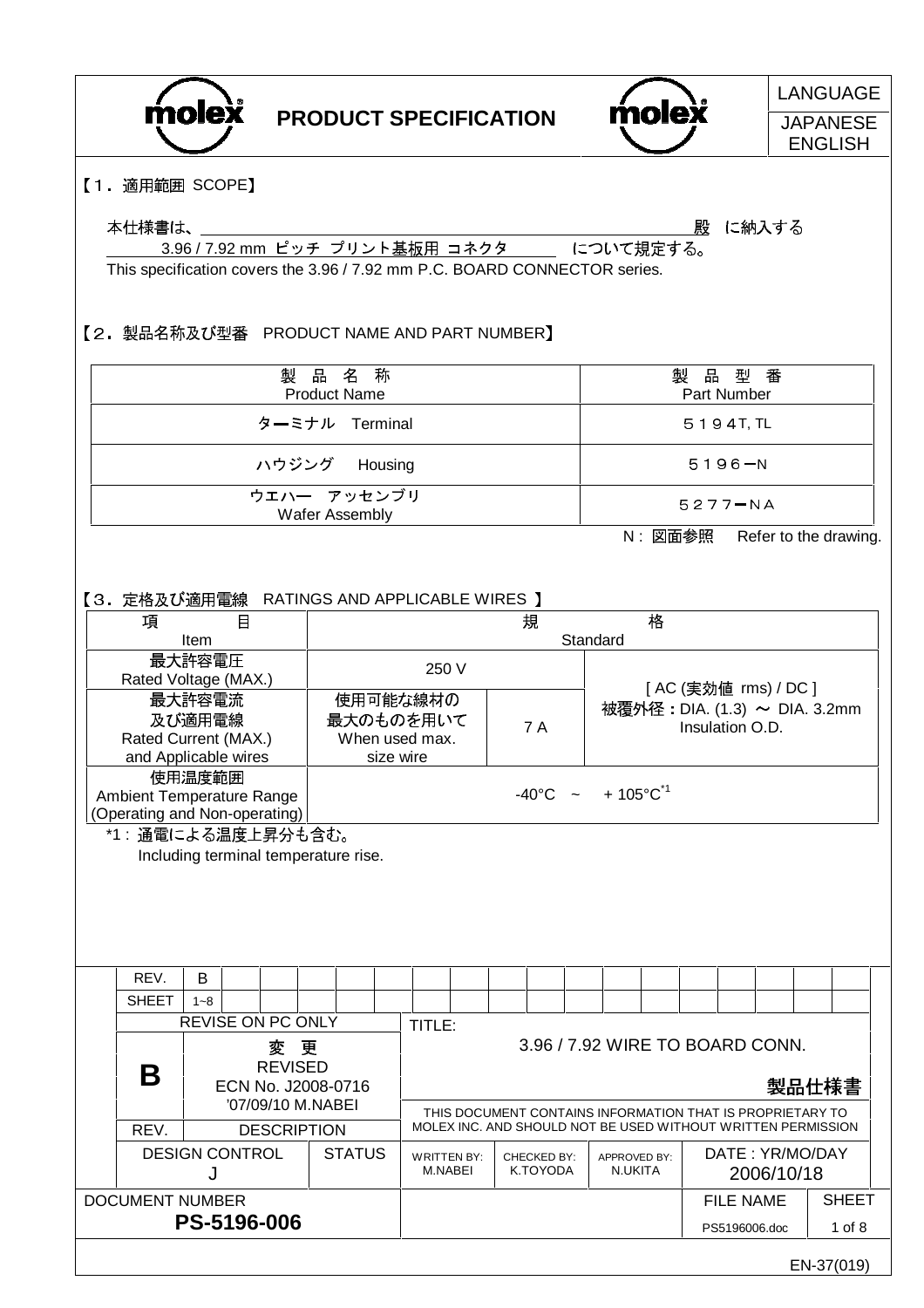



LANGUAGE **JAPANESE** 

ENGLISH

【1. 適用範囲 SCOPE】

#### 本仕様書は、

殿 に納入する

3.96 / 7.92 mm ピッチ プリント基板用 コネクタ - について規定する。 This specification covers the 3.96 / 7.92 mm P.C. BOARD CONNECTOR series.

### 【2. 製品名称及び型番 PRODUCT NAME AND PART NUMBER】

| 製品名称                          | 製品型番                                  |
|-------------------------------|---------------------------------------|
| <b>Product Name</b>           | Part Number                           |
| ターミナル Terminal                | 5194T, TL                             |
| ハウジング Housing                 | 5196-N                                |
| ウエハー アッセンブリ<br>Wafer Assembly | 5277-NA                               |
|                               | Ⅳ 网雷会昭<br><b>Dofor to the drawing</b> |

N : 図面参照 Refer to the drawing.

│【3.定格及び適用雷線 RATINGS AND APPLICABLE WIRES 】

| 項                                    |         | $\boxminus$ |                          |   |               | 規<br>格<br>Standard |                                               |                                                                                                                           |                      |                                 |  |  |         |              |                               |                  |  |            |       |              |
|--------------------------------------|---------|-------------|--------------------------|---|---------------|--------------------|-----------------------------------------------|---------------------------------------------------------------------------------------------------------------------------|----------------------|---------------------------------|--|--|---------|--------------|-------------------------------|------------------|--|------------|-------|--------------|
|                                      | Item    |             |                          |   |               |                    |                                               |                                                                                                                           |                      |                                 |  |  |         |              |                               |                  |  |            |       |              |
|                                      | 最大許容電圧  |             |                          |   |               |                    | 250 V                                         |                                                                                                                           |                      |                                 |  |  |         |              |                               |                  |  |            |       |              |
| Rated Voltage (MAX.)                 |         |             |                          |   |               |                    |                                               |                                                                                                                           | [AC (実効値 rms) / DC ] |                                 |  |  |         |              |                               |                  |  |            |       |              |
|                                      | 最大許容電流  |             |                          |   |               |                    | 使用可能な線材の                                      |                                                                                                                           |                      |                                 |  |  |         |              | 被覆外径: DIA. (1.3) ~ DIA. 3.2mm |                  |  |            |       |              |
|                                      | 及び適用電線  |             |                          |   |               |                    | 最大のものを用いて                                     |                                                                                                                           |                      | <b>7 A</b>                      |  |  |         |              |                               | Insulation O.D.  |  |            |       |              |
| Rated Current (MAX.)                 |         |             |                          |   |               |                    | When used max.                                |                                                                                                                           |                      |                                 |  |  |         |              |                               |                  |  |            |       |              |
| and Applicable wires                 |         |             |                          |   |               |                    | size wire                                     |                                                                                                                           |                      |                                 |  |  |         |              |                               |                  |  |            |       |              |
|                                      | 使用温度範囲  |             |                          |   |               |                    |                                               |                                                                                                                           |                      |                                 |  |  |         |              |                               |                  |  |            |       |              |
| Ambient Temperature Range            |         |             |                          |   |               |                    | $+105^{\circ}$ C $^{*1}$<br>$-40^{\circ}$ C ~ |                                                                                                                           |                      |                                 |  |  |         |              |                               |                  |  |            |       |              |
| (Operating and Non-operating)        |         |             |                          |   |               |                    |                                               |                                                                                                                           |                      |                                 |  |  |         |              |                               |                  |  |            |       |              |
| *1: 通電による温度上昇分も含む。                   |         |             |                          |   |               |                    |                                               |                                                                                                                           |                      |                                 |  |  |         |              |                               |                  |  |            |       |              |
| Including terminal temperature rise. |         |             |                          |   |               |                    |                                               |                                                                                                                           |                      |                                 |  |  |         |              |                               |                  |  |            |       |              |
|                                      |         |             |                          |   |               |                    |                                               |                                                                                                                           |                      |                                 |  |  |         |              |                               |                  |  |            |       |              |
|                                      |         |             |                          |   |               |                    |                                               |                                                                                                                           |                      |                                 |  |  |         |              |                               |                  |  |            |       |              |
|                                      |         |             |                          |   |               |                    |                                               |                                                                                                                           |                      |                                 |  |  |         |              |                               |                  |  |            |       |              |
|                                      |         |             |                          |   |               |                    |                                               |                                                                                                                           |                      |                                 |  |  |         |              |                               |                  |  |            |       |              |
|                                      |         |             |                          |   |               |                    |                                               |                                                                                                                           |                      |                                 |  |  |         |              |                               |                  |  |            |       |              |
| REV.                                 | B       |             |                          |   |               |                    |                                               |                                                                                                                           |                      |                                 |  |  |         |              |                               |                  |  |            |       |              |
| <b>SHEET</b>                         | $1 - 8$ |             |                          |   |               |                    |                                               |                                                                                                                           |                      |                                 |  |  |         |              |                               |                  |  |            |       |              |
|                                      |         |             | <b>REVISE ON PC ONLY</b> |   |               |                    | TITLE:                                        |                                                                                                                           |                      |                                 |  |  |         |              |                               |                  |  |            |       |              |
|                                      |         |             | 変                        | 更 |               |                    |                                               |                                                                                                                           |                      | 3.96 / 7.92 WIRE TO BOARD CONN. |  |  |         |              |                               |                  |  |            |       |              |
|                                      |         |             | <b>REVISED</b>           |   |               |                    |                                               |                                                                                                                           |                      |                                 |  |  |         |              |                               |                  |  |            |       |              |
| Β                                    |         |             | ECN No. J2008-0716       |   |               |                    |                                               |                                                                                                                           |                      |                                 |  |  |         |              |                               |                  |  |            | 製品仕様書 |              |
|                                      |         |             | '07/09/10 M.NABEI        |   |               |                    |                                               |                                                                                                                           |                      |                                 |  |  |         |              |                               |                  |  |            |       |              |
| REV.                                 |         |             |                          |   |               |                    |                                               | THIS DOCUMENT CONTAINS INFORMATION THAT IS PROPRIETARY TO<br>MOLEX INC. AND SHOULD NOT BE USED WITHOUT WRITTEN PERMISSION |                      |                                 |  |  |         |              |                               |                  |  |            |       |              |
|                                      |         |             | <b>DESCRIPTION</b>       |   |               |                    |                                               |                                                                                                                           |                      |                                 |  |  |         |              |                               |                  |  |            |       |              |
| <b>DESIGN CONTROL</b>                |         |             |                          |   | <b>STATUS</b> |                    | <b>WRITTEN BY:</b>                            |                                                                                                                           |                      | CHECKED BY:                     |  |  |         | APPROVED BY: |                               | DATE: YR/MO/DAY  |  |            |       |              |
|                                      |         |             |                          |   |               |                    | M.NABEI                                       |                                                                                                                           |                      | K.TOYODA                        |  |  | N.UKITA |              |                               |                  |  | 2006/10/18 |       |              |
| <b>DOCUMENT NUMBER</b>               |         |             |                          |   |               |                    |                                               |                                                                                                                           |                      |                                 |  |  |         |              |                               | <b>FILE NAME</b> |  |            |       | <b>SHEET</b> |
|                                      |         |             | PS-5196-006              |   |               |                    |                                               |                                                                                                                           |                      |                                 |  |  |         |              |                               | PS5196006.doc    |  |            |       | $1$ of $8$   |
|                                      |         |             |                          |   |               |                    |                                               |                                                                                                                           |                      |                                 |  |  |         |              |                               |                  |  |            |       |              |
| EN-37(019)                           |         |             |                          |   |               |                    |                                               |                                                                                                                           |                      |                                 |  |  |         |              |                               |                  |  |            |       |              |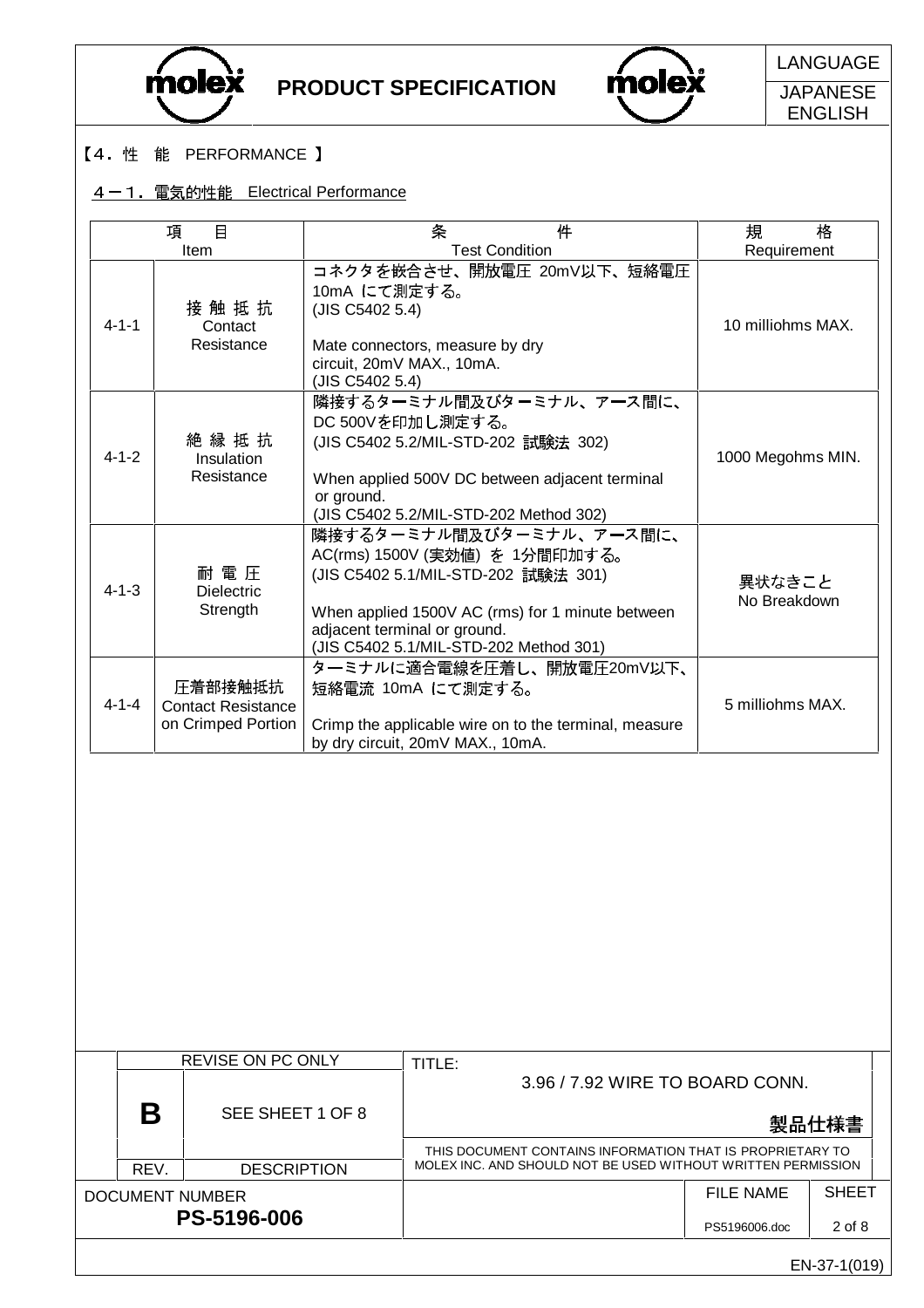



LANGUAGE

**JAPANESE** ENGLISH

#### 【4. 性 能 PERFORMANCE 】

DOCUMENT NUMBER

**PS-5196-006**

## 4-1. 電気的性能 Electrical Performance

|             | 目<br>項<br>Item                                             | 条<br>件<br><b>Test Condition</b>                                                                                                                                                                                                 | 格<br>規<br>Requirement  |
|-------------|------------------------------------------------------------|---------------------------------------------------------------------------------------------------------------------------------------------------------------------------------------------------------------------------------|------------------------|
| $4 - 1 - 1$ | 接触抵抗<br>Contact<br>Resistance                              | コネクタを嵌合させ、開放電圧 20mV以下、短絡電圧<br>10mA にて測定する。<br>(JIS C5402 5.4)<br>Mate connectors, measure by dry<br>circuit, 20mV MAX., 10mA.<br>(JIS C5402 5.4)                                                                                | 10 milliohms MAX.      |
| $4 - 1 - 2$ | 絶 縁 抵 抗<br>Insulation<br>Resistance                        | 隣接するターミナル間及びターミナル、アース間に、<br>DC 500Vを印加し測定する。<br>(JIS C5402 5.2/MIL-STD-202 試験法 302)<br>When applied 500V DC between adjacent terminal<br>or ground.<br>(JIS C5402 5.2/MIL-STD-202 Method 302)                                   | 1000 Megohms MIN.      |
| $4 - 1 - 3$ | 耐 電 圧<br><b>Dielectric</b><br>Strength                     | 隣接するターミナル間及びターミナル、アース間に、<br>AC(rms) 1500V (実効値) を 1分間印加する。<br>(JIS C5402 5.1/MIL-STD-202 試験法 301)<br>When applied 1500V AC (rms) for 1 minute between<br>adjacent terminal or ground.<br>(JIS C5402 5.1/MIL-STD-202 Method 301) | 異状なきこと<br>No Breakdown |
| $4 - 1 - 4$ | 圧着部接触抵抗<br><b>Contact Resistance</b><br>on Crimped Portion | ターミナルに適合電線を圧着し、開放電圧20mV以下、<br>短絡電流 10mA にて測定する。<br>Crimp the applicable wire on to the terminal, measure<br>by dry circuit, 20mV MAX., 10mA.                                                                                    | 5 milliohms MAX.       |
|             |                                                            |                                                                                                                                                                                                                                 |                        |
|             | <b>REVISE ON PC ONLY</b><br>B<br>SEE SHEET 1 OF 8          | TITLE:<br>3.96 / 7.92 WIRE TO BOARD CONN.                                                                                                                                                                                       | 製品仕様書                  |
|             |                                                            |                                                                                                                                                                                                                                 |                        |
|             | REV.<br><b>DESCRIPTION</b>                                 | THIS DOCUMENT CONTAINS INFORMATION THAT IS PROPRIETARY TO<br>MOLEX INC. AND SHOULD NOT BE USED WITHOUT WRITTEN PERMISSION                                                                                                       |                        |

2 of 8

PS5196006.doc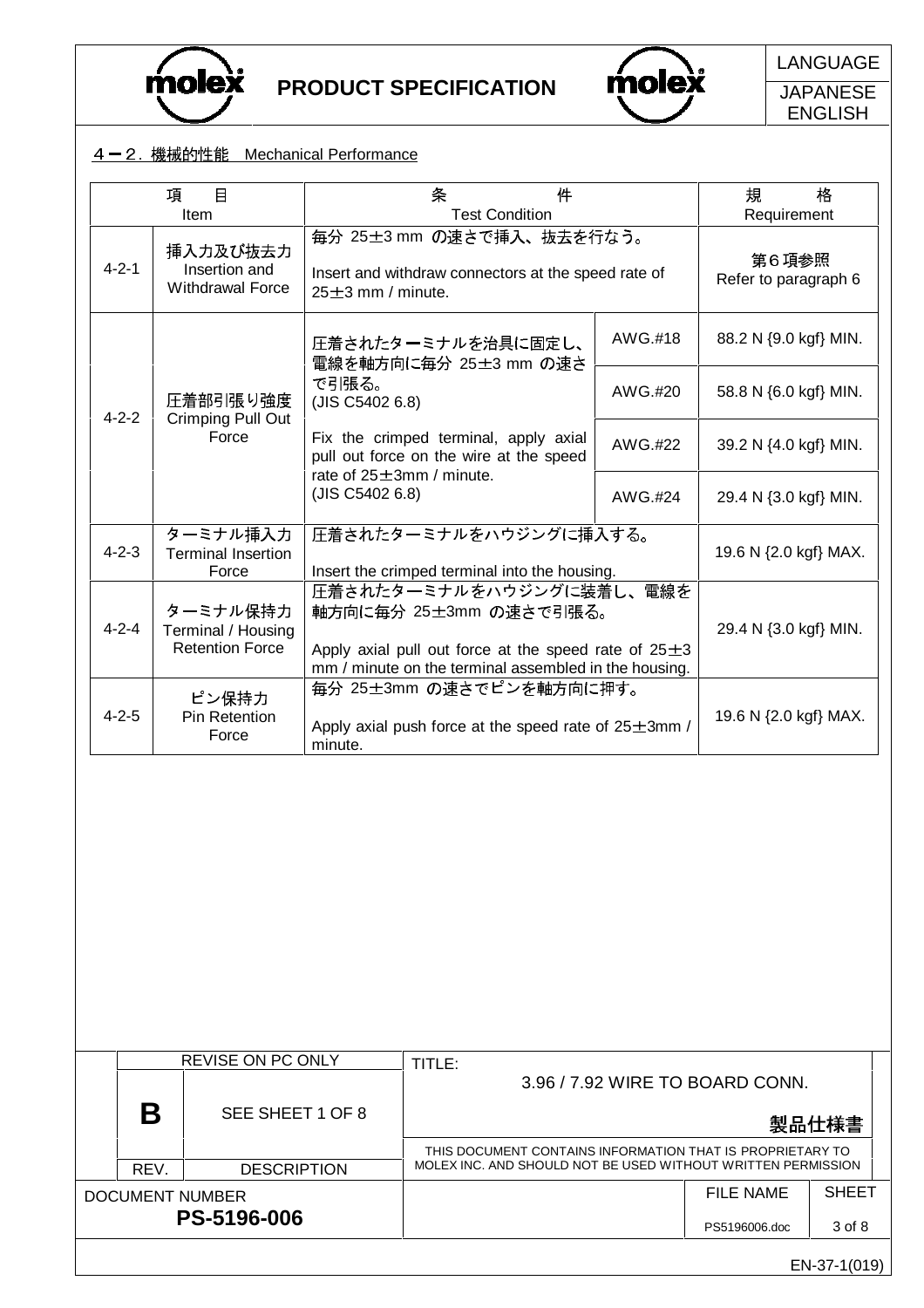



LANGUAGE

**JAPANESE** ENGLISH

### 4-2. 機械的性能 Mechanical Performance

|             | 目<br>項<br>Item                                           | 条<br>件<br><b>Test Condition</b>                                                                                                                                         |                                                                                       | 規<br>格<br>Requirement           |  |  |  |  |
|-------------|----------------------------------------------------------|-------------------------------------------------------------------------------------------------------------------------------------------------------------------------|---------------------------------------------------------------------------------------|---------------------------------|--|--|--|--|
| $4 - 2 - 1$ | 挿入力及び抜去力<br>Insertion and<br><b>Withdrawal Force</b>     | 毎分 25±3 mm の速さで挿入、抜去を行なう。<br>Insert and withdraw connectors at the speed rate of<br>25±3 mm / minute.                                                                   |                                                                                       | 第6項参照<br>Refer to paragraph 6   |  |  |  |  |
|             |                                                          | 圧着されたターミナルを治具に固定し、<br>電線を軸方向に毎分 25±3 mm の速さ                                                                                                                             | AWG.#18                                                                               | 88.2 N {9.0 kgf} MIN.           |  |  |  |  |
| $4 - 2 - 2$ | 圧着部引張り強度<br>Crimping Pull Out<br>Force                   | で引張る。<br>(JIS C5402 6.8)                                                                                                                                                | AWG.#20                                                                               | 58.8 N {6.0 kgf} MIN.           |  |  |  |  |
|             |                                                          | Fix the crimped terminal, apply axial<br>pull out force on the wire at the speed                                                                                        | AWG.#22                                                                               | 39.2 N {4.0 kgf} MIN.           |  |  |  |  |
|             |                                                          | rate of $25 \pm 3$ mm / minute.<br>(JIS C5402 6.8)                                                                                                                      | AWG.#24                                                                               | 29.4 N {3.0 kgf} MIN.           |  |  |  |  |
| $4 - 2 - 3$ | ターミナル挿入力<br><b>Terminal Insertion</b><br>Force           | 圧着されたターミナルをハウジングに挿入する。<br>Insert the crimped terminal into the housing.                                                                                                 | 19.6 N {2.0 kgf} MAX.                                                                 |                                 |  |  |  |  |
| $4 - 2 - 4$ | ターミナル保持力<br>Terminal / Housing<br><b>Retention Force</b> | 圧着されたターミナルをハウジングに装着し、電線を<br>軸方向に毎分 25±3mm の速さで引張る。<br>Apply axial pull out force at the speed rate of $25\pm3$<br>mm / minute on the terminal assembled in the housing. | 29.4 N {3.0 kgf} MIN.                                                                 |                                 |  |  |  |  |
| $4 - 2 - 5$ | ピン保持力<br>Pin Retention<br>Force                          | minute.                                                                                                                                                                 | 毎分 25±3mm の速さでピンを軸方向に押す。<br>Apply axial push force at the speed rate of $25\pm3$ mm / |                                 |  |  |  |  |
|             |                                                          |                                                                                                                                                                         |                                                                                       |                                 |  |  |  |  |
|             | REVISE ON PC ONLY                                        | TITLE:                                                                                                                                                                  |                                                                                       | 3.96 / 7.92 WIRE TO BOARD CONN. |  |  |  |  |
| B           | SEE SHEET 1 OF 8                                         |                                                                                                                                                                         |                                                                                       | 製品仕様書                           |  |  |  |  |

|                    | D    | OLL OIILLII UI 0   | 製品仕様書                                                        |               |              |  |  |  |
|--------------------|------|--------------------|--------------------------------------------------------------|---------------|--------------|--|--|--|
|                    |      |                    | THIS DOCUMENT CONTAINS INFORMATION THAT IS PROPRIETARY TO    |               |              |  |  |  |
|                    | REV. | <b>DESCRIPTION</b> | MOLEX INC. AND SHOULD NOT BE USED WITHOUT WRITTEN PERMISSION |               |              |  |  |  |
| DOCUMENT NUMBER    |      |                    |                                                              | FILE NAME     | <b>SHEET</b> |  |  |  |
| <b>PS-5196-006</b> |      |                    |                                                              | PS5196006.doc | 3 of 8       |  |  |  |
|                    |      |                    |                                                              |               | EN-37-1(019) |  |  |  |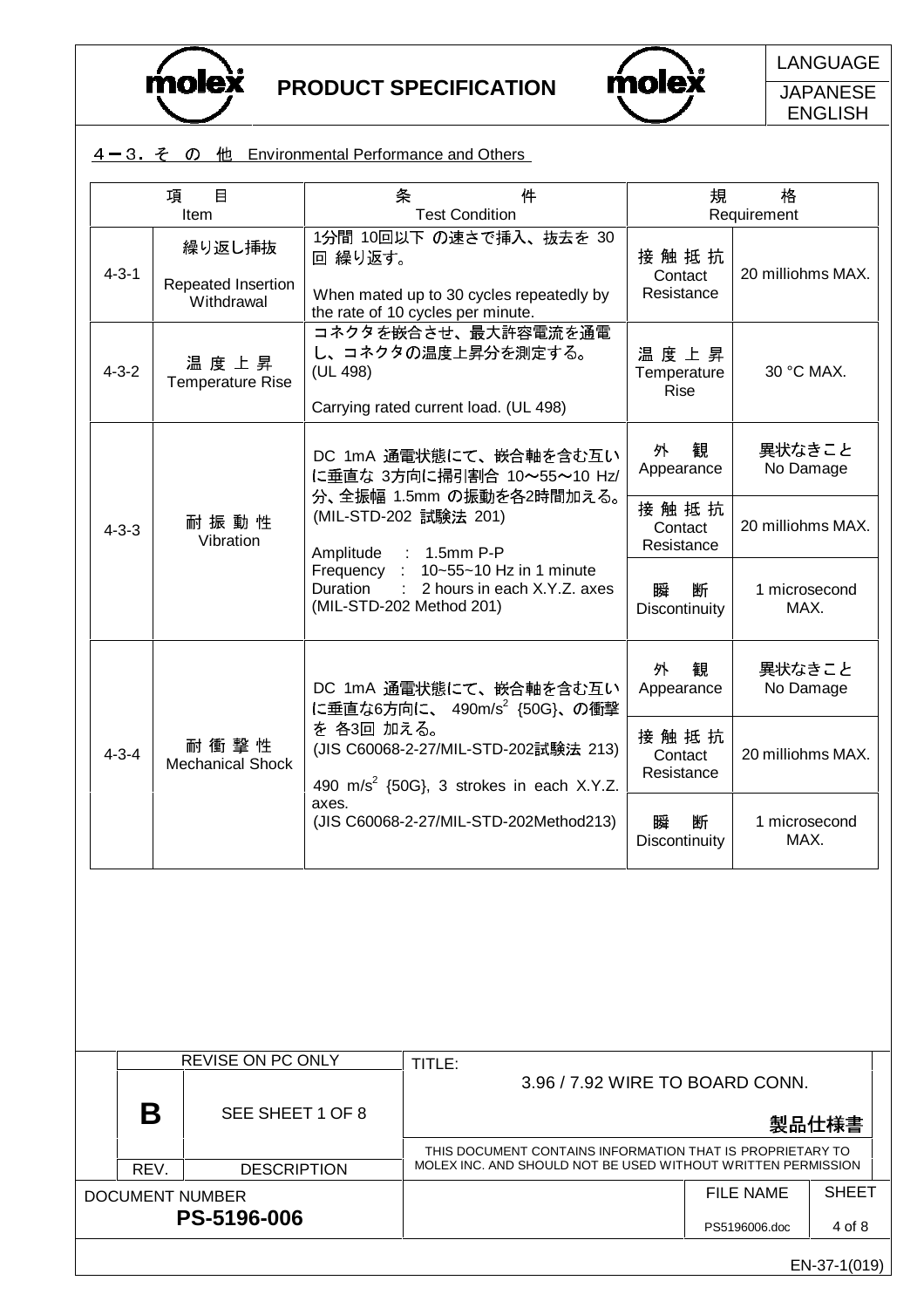

**PS-5196-006**



LANGUAGE

**JAPANESE** ENGLISH

| $4-3.$ $\zeta$ $\oslash$ $\uparrow$ $\uparrow$ Environmental Performance and Others |
|-------------------------------------------------------------------------------------|
|-------------------------------------------------------------------------------------|

| 項           | $\Box$<br>Item                             |            | 件<br>条<br><b>Test Condition</b>                                                                                                    | 規                                                | 格<br>Requirement          |               |
|-------------|--------------------------------------------|------------|------------------------------------------------------------------------------------------------------------------------------------|--------------------------------------------------|---------------------------|---------------|
| $4 - 3 - 1$ | 繰り返し挿抜<br>Repeated Insertion<br>Withdrawal | 回 繰り返す。    | 1分間 10回以下 の速さで挿入、抜去を 30<br>When mated up to 30 cycles repeatedly by<br>the rate of 10 cycles per minute.                           | 接触抵抗<br>Contact<br>Resistance                    | 20 milliohms MAX.         |               |
| $4 - 3 - 2$ | 温度上昇<br><b>Temperature Rise</b>            | (UL 498)   | コネクタを嵌合させ、最大許容電流を通電<br>し、コネクタの温度上昇分を測定する。<br>Carrying rated current load. (UL 498)                                                 | 温度上昇<br>Temperature<br><b>Rise</b>               | 30 °C MAX.                |               |
|             | 耐 振 動 性                                    |            | DC 1mA 通電状態にて、嵌合軸を含む互い<br>に垂直な 3方向に掃引割合 10~55~10 Hz/<br>分、全振幅 1.5mm の振動を各2時間加える。<br>(MIL-STD-202 試験法 201)                          | 外<br>観<br>Appearance<br>接触抵抗                     | 異状なきこと                    | No Damage     |
| $4 - 3 - 3$ | Vibration                                  |            | Amplitude : 1.5mm P-P<br>Frequency : 10~55~10 Hz in 1 minute<br>Duration : 2 hours in each X.Y.Z. axes<br>(MIL-STD-202 Method 201) | Contact<br>Resistance<br>瞬<br>断<br>Discontinuity | 20 milliohms MAX.<br>MAX. | 1 microsecond |
|             |                                            |            | DC 1mA 通電状態にて、嵌合軸を含む互い<br>に垂直な6方向に、 490m/s2 {50G}、の衝撃                                                                              | 観<br>外<br>Appearance                             | 異状なきこと                    | No Damage     |
| $4 - 3 - 4$ | 耐 衝 撃 性<br><b>Mechanical Shock</b>         | を 各3回 加える。 | (JIS C60068-2-27/MIL-STD-202試験法 213)<br>490 m/s <sup>2</sup> {50G}, 3 strokes in each X.Y.Z.                                       | 接触抵抗<br>Contact<br>Resistance                    | 20 milliohms MAX.         |               |
|             |                                            | axes.      | (JIS C60068-2-27/MIL-STD-202Method213)                                                                                             | 断<br>瞬<br>Discontinuity                          | MAX.                      | 1 microsecond |
|             |                                            |            |                                                                                                                                    |                                                  |                           |               |
|             | <b>REVISE ON PC ONLY</b>                   |            | TITLE:                                                                                                                             |                                                  |                           |               |
| B           | SEE SHEET 1 OF 8                           |            | 3.96 / 7.92 WIRE TO BOARD CONN.                                                                                                    |                                                  |                           | 製品仕様書         |
| REV.        | <b>DESCRIPTION</b>                         |            | THIS DOCUMENT CONTAINS INFORMATION THAT IS PROPRIETARY TO<br>MOLEX INC. AND SHOULD NOT BE USED WITHOUT WRITTEN PERMISSION          |                                                  |                           |               |
|             | <b>DOCUMENT NUMBER</b>                     |            |                                                                                                                                    |                                                  | <b>FILE NAME</b>          | <b>SHEET</b>  |

EN-37-1(019)

4 of 8

PS5196006.doc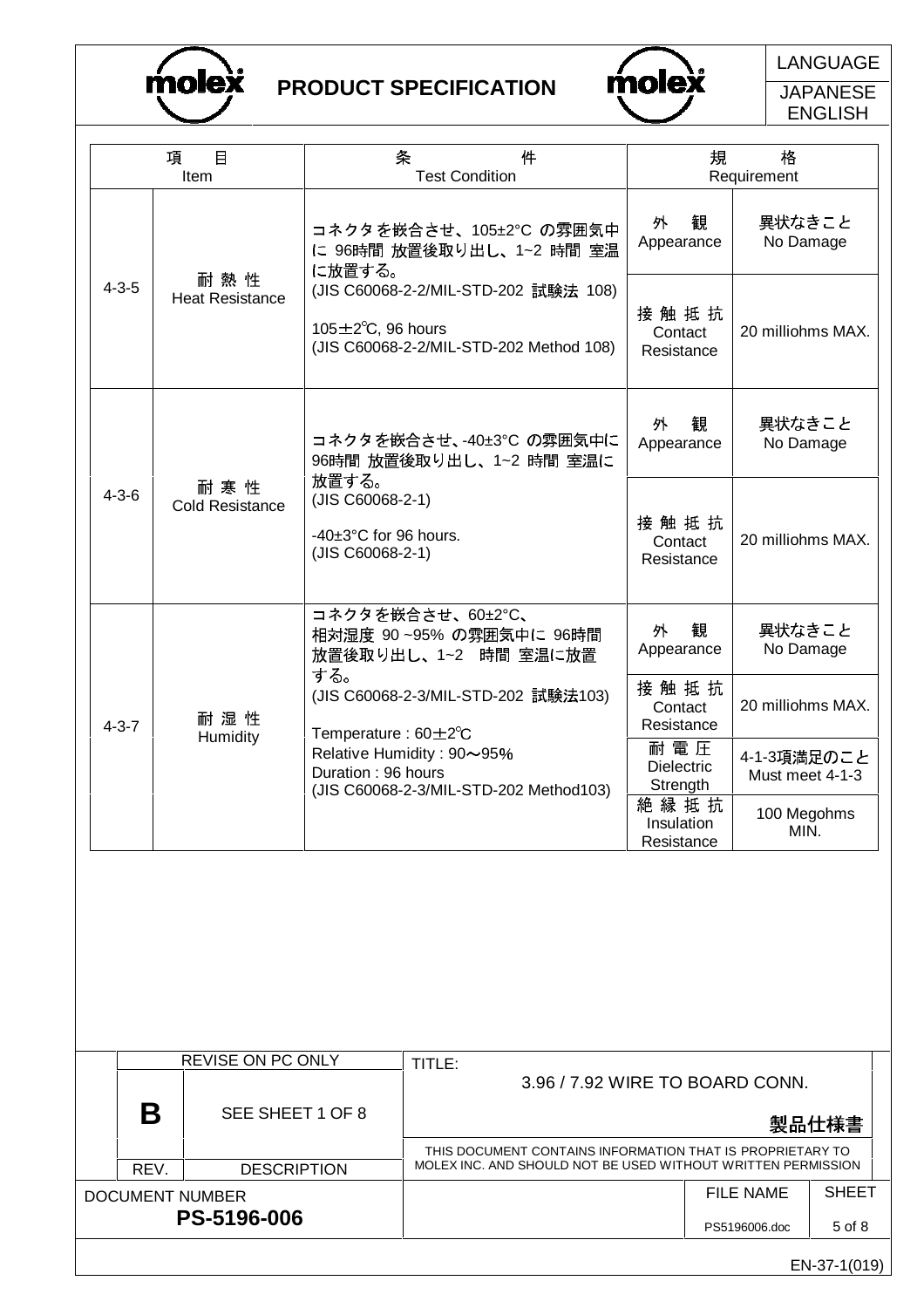



LANGUAGE

**JAPANESE** ENGLISH

|             | $\Box$<br>項<br>Item           | 条<br>件<br><b>Test Condition</b>                                                                                      | 格<br>規<br>Requirement                   |                                |  |
|-------------|-------------------------------|----------------------------------------------------------------------------------------------------------------------|-----------------------------------------|--------------------------------|--|
|             |                               | コネクタを嵌合させ、105±2°C の雰囲気中<br>に 96時間 放置後取り出し、1~2 時間 室温<br>に放置する。                                                        | 観<br>外<br>Appearance                    | 異状なきこと<br>No Damage            |  |
| $4 - 3 - 5$ | 耐熱性<br><b>Heat Resistance</b> | (JIS C60068-2-2/MIL-STD-202 試験法 108)<br>105 $\pm$ 2 $\degree$ C, 96 hours<br>(JIS C60068-2-2/MIL-STD-202 Method 108) | 接 触 抵 抗<br>Contact<br>Resistance        | 20 milliohms MAX.              |  |
|             | 耐寒性<br><b>Cold Resistance</b> | コネクタを嵌合させ、-40±3℃ の雰囲気中に<br>96時間 放置後取り出し、1~2 時間 室温に                                                                   | 観<br>外<br>Appearance                    | 異状なきこと<br>No Damage            |  |
| $4 - 3 - 6$ |                               | 放置する。<br>(JIS C60068-2-1)<br>$-40\pm3$ °C for 96 hours.<br>(JIS C60068-2-1)                                          | 接触抵抗<br>Contact<br>Resistance           | 20 milliohms MAX.              |  |
|             |                               | コネクタを嵌合させ、60±2°C、<br>相対湿度 90~95% の雰囲気中に 96時間<br>放置後取り出し、1~2 時間 室温に放置<br>する。                                          | 外<br>観<br>Appearance                    | 異状なきこと<br>No Damage            |  |
| $4 - 3 - 7$ | 耐湿性                           | (JIS C60068-2-3/MIL-STD-202 試験法103)<br>Temperature: $60 \pm 2^{\circ}$ C                                             | 接触抵抗<br>Contact<br>Resistance           | 20 milliohms MAX.              |  |
|             | Humidity                      | Relative Humidity: 90~95%<br>Duration: 96 hours<br>(JIS C60068-2-3/MIL-STD-202 Method103)                            | 耐電圧<br><b>Dielectric</b><br>Strength    | 4-1-3項満足のこと<br>Must meet 4-1-3 |  |
|             |                               |                                                                                                                      | 絶縁抵抗<br><b>Insulation</b><br>Resistance | 100 Megohms<br>MIN.            |  |

|                    |                                | <b>REVISE ON PC ONLY</b> | TITLE:                                                       |               |              |  |  |  |
|--------------------|--------------------------------|--------------------------|--------------------------------------------------------------|---------------|--------------|--|--|--|
|                    |                                |                          | 3.96 / 7.92 WIRE TO BOARD CONN.                              |               |              |  |  |  |
|                    | Β<br>SEE SHEET 1 OF 8<br>製品仕様書 |                          |                                                              |               |              |  |  |  |
|                    |                                |                          | THIS DOCUMENT CONTAINS INFORMATION THAT IS PROPRIETARY TO    |               |              |  |  |  |
|                    | REV.                           | <b>DESCRIPTION</b>       | MOLEX INC. AND SHOULD NOT BE USED WITHOUT WRITTEN PERMISSION |               |              |  |  |  |
| DOCUMENT NUMBER    |                                |                          |                                                              | FILE NAME     | <b>SHEET</b> |  |  |  |
| <b>PS-5196-006</b> |                                |                          |                                                              | PS5196006.doc | 5 of 8       |  |  |  |
|                    |                                |                          |                                                              |               |              |  |  |  |

EN-37-1(019)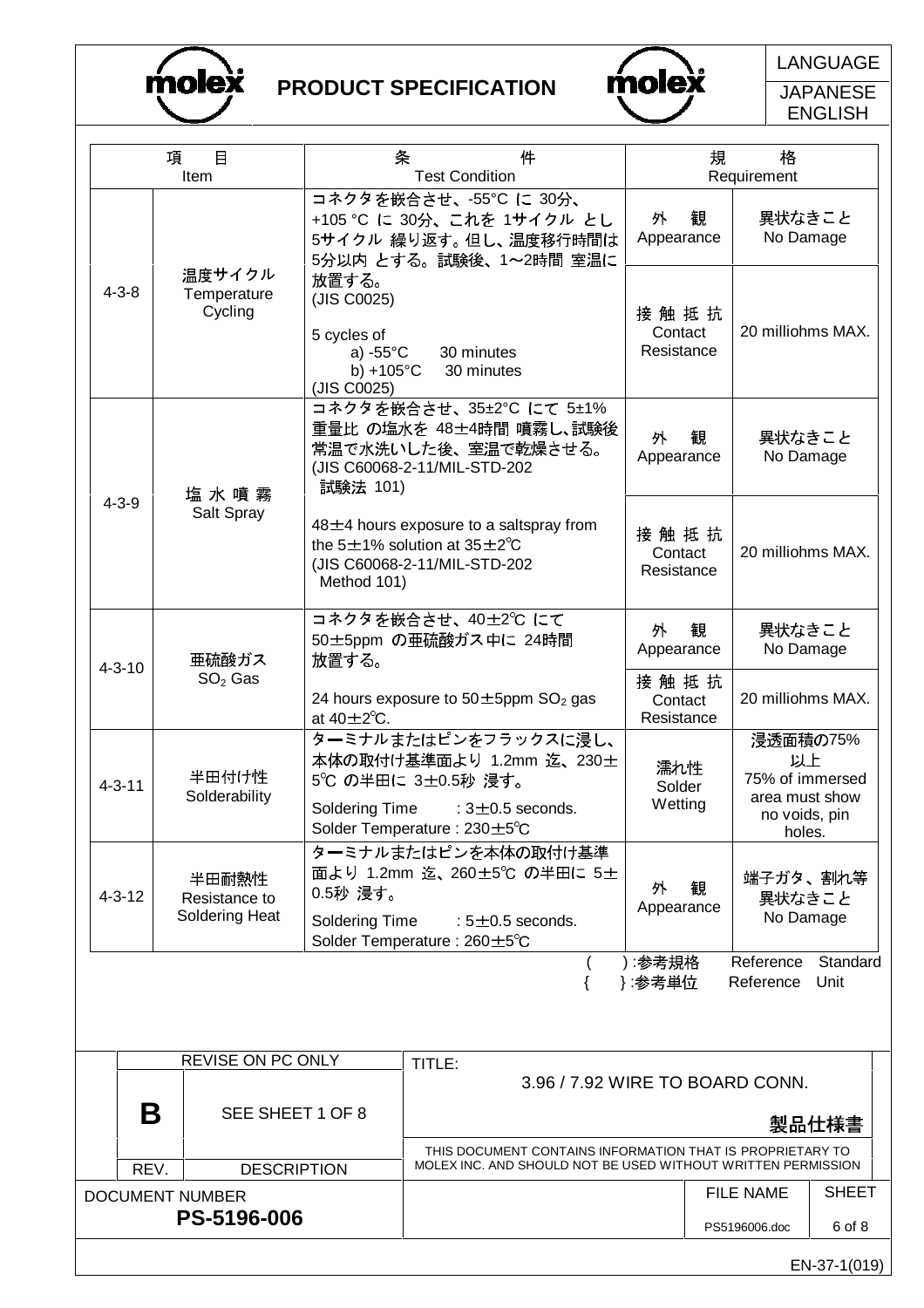



LANGUAGE

**JAPANESE** ENGLISH

|                                | 項<br>$\Box$<br>Item                             |                                                 | 条<br>件<br><b>Test Condition</b>                                                                                                                | 規<br>格<br>Requirement            |   |                                                                                |              |
|--------------------------------|-------------------------------------------------|-------------------------------------------------|------------------------------------------------------------------------------------------------------------------------------------------------|----------------------------------|---|--------------------------------------------------------------------------------|--------------|
|                                |                                                 |                                                 | コネクタを嵌合させ、-55℃ に 30分、<br>+105 °C に 30分、これを 1サイクル とし<br>5サイクル 繰り返す。但し、温度移行時間は<br>5分以内 とする。試験後、1~2時間 室温に                                         | 外<br>Appearance                  | 観 | 異状なきこと<br>No Damage                                                            |              |
| $4 - 3 - 8$                    | 温度サイクル<br>Temperature<br>Cycling                | 放置する。<br>(JIS C0025)<br>5 cycles of             | 30 minutes<br>a) $-55^{\circ}$ C                                                                                                               |                                  |   | 20 milliohms MAX.                                                              |              |
| 塩 水 噴 霧                        |                                                 | b) +105 $^{\circ}$ C<br>(JIS C0025)<br>試験法 101) | 30 minutes<br>コネクタを嵌合させ、35±2℃ にて 5±1%<br>重量比 の塩水を 48±4時間 噴霧し、試験後<br>常温で水洗いした後、室温で乾燥させる。<br>(JIS C60068-2-11/MIL-STD-202                        | 外<br>Appearance                  | 観 | 異状なきこと<br>No Damage                                                            |              |
| $4 - 3 - 9$<br>Salt Spray      |                                                 | Method 101)                                     | 48±4 hours exposure to a saltspray from<br>the $5\pm1\%$ solution at $35\pm2\degree$ C<br>(JIS C60068-2-11/MIL-STD-202                         | 接 触 抵 抗<br>Contact<br>Resistance |   | 20 milliohms MAX.                                                              |              |
| 亜硫酸ガス<br>放置する。<br>$4 - 3 - 10$ |                                                 |                                                 | コネクタを嵌合させ、40±2℃ にて<br>50±5ppm の亜硫酸ガス中に 24時間                                                                                                    | 外<br>観<br>Appearance             |   | 異状なきこと<br>No Damage                                                            |              |
|                                | $SO2$ Gas                                       | at $40 \pm 2^{\circ}$ C.                        | 24 hours exposure to $50\pm5$ ppm SO <sub>2</sub> gas                                                                                          |                                  |   | 20 milliohms MAX.                                                              |              |
| $4 - 3 - 11$                   | 半田付け性<br>Solderability                          |                                                 | ターミナルまたはピンをフラックスに浸し、<br>本体の取付け基準面より 1.2mm 迄、230±<br>5℃ の半田に 3±0.5秒 浸す。<br>Soldering Time<br>$:3\pm0.5$ seconds.<br>Solder Temperature: 230±5°C |                                  |   | 浸透面積の75%<br>以上<br>75% of immersed<br>area must show<br>no voids, pin<br>holes. |              |
| $4 - 3 - 12$                   | 半田耐熱性<br>Resistance to<br><b>Soldering Heat</b> | 0.5秒 浸す。<br><b>Soldering Time</b>               | ターミナルまたはピンを本体の取付け基準<br>面より 1.2mm 迄、260±5℃ の半田に 5±<br>: $5\pm0.5$ seconds.<br>Solder Temperature: 260±5°C                                       | 外<br>Appearance                  | 観 | 端子ガタ、割れ等<br>異状なきこと<br>No Damage                                                |              |
|                                |                                                 |                                                 |                                                                                                                                                | ) :参考規格<br>}:参考単位                |   | Reference<br>Reference Unit                                                    | Standard     |
|                                |                                                 |                                                 |                                                                                                                                                |                                  |   |                                                                                |              |
| REVISE ON PC ONLY              |                                                 |                                                 | TITLE:<br>3.96 / 7.92 WIRE TO BOARD CONN.                                                                                                      |                                  |   |                                                                                |              |
|                                | Β                                               | SEE SHEET 1 OF 8                                | THIS DOCUMENT CONTAINS INFORMATION THAT IS PROPRIETARY TO                                                                                      |                                  |   |                                                                                | 製品仕様書        |
|                                | REV.                                            | <b>DESCRIPTION</b>                              | MOLEX INC. AND SHOULD NOT BE USED WITHOUT WRITTEN PERMISSION                                                                                   |                                  |   | <b>FILE NAME</b>                                                               | <b>SHEET</b> |
|                                | <b>DOCUMENT NUMBER</b><br>PS-5196-006           |                                                 |                                                                                                                                                |                                  |   | PS5196006.doc                                                                  | 6 of 8       |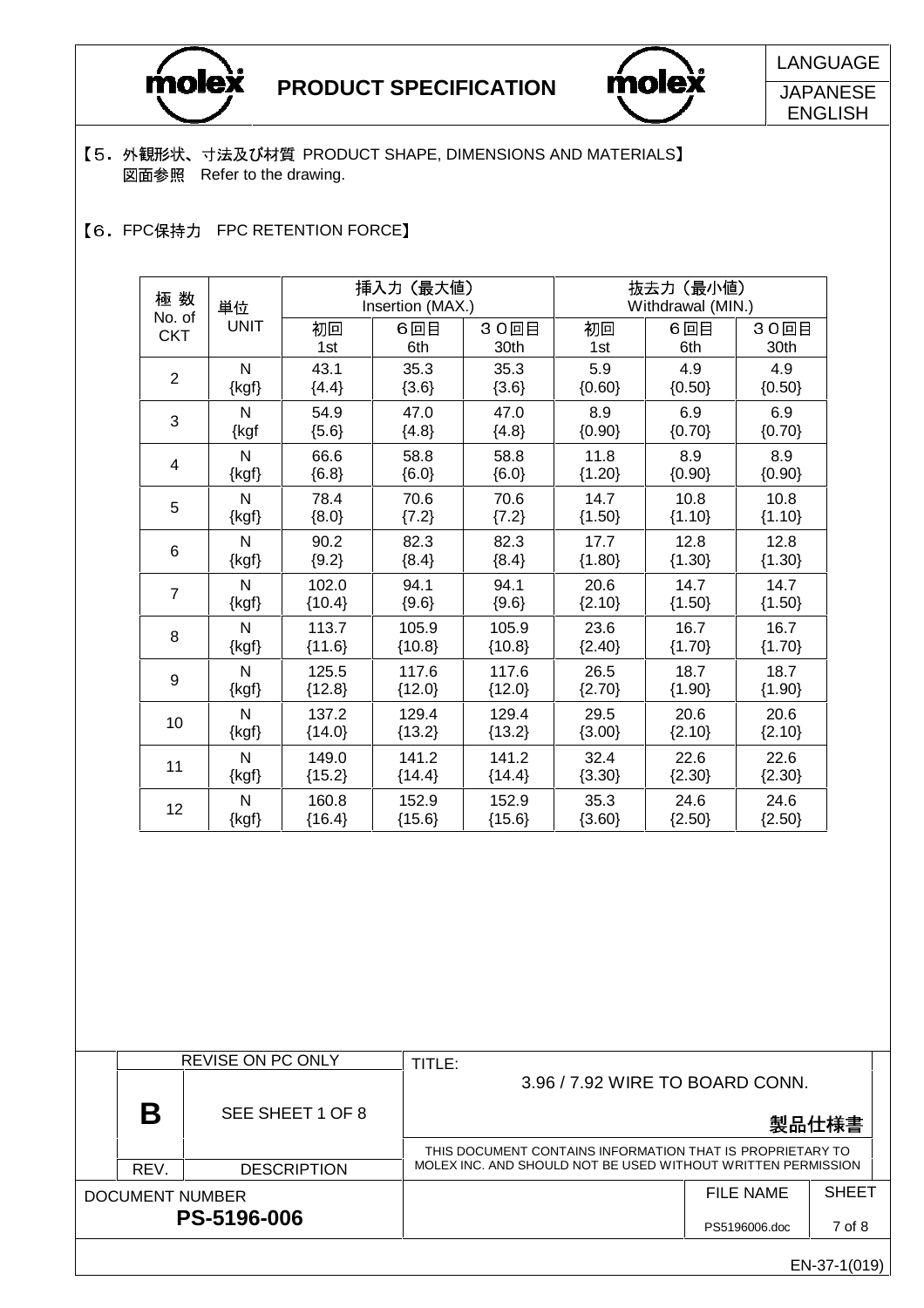



LANGUAGE JAPANESE

ENGLISH

EN-37-1(019)

- 【5. 外観形状、寸法及び材質 PRODUCT SHAPE, DIMENSIONS AND MATERIALS】 図面参照 Refer to the drawing.
- 【6. FPC保持力 FPC RETENTION FORCE】

| 極数             | 単位           |          | 挿入力 (最大値)<br>Insertion (MAX.) |          | 抜去力 (最小値)<br>Withdrawal (MIN.) |          |          |  |
|----------------|--------------|----------|-------------------------------|----------|--------------------------------|----------|----------|--|
| No. of         | <b>UNIT</b>  | 初回       | 6回目                           | 30回目     | 初回                             | 6回目      | 30回目     |  |
| <b>CKT</b>     |              | 1st      | 6th                           | 30th     | 1st                            | 6th      | 30th     |  |
| $\overline{2}$ | N            | 43.1     | 35.3                          | 35.3     | 5.9                            | 4.9      | 4.9      |  |
|                | $\{kgf\}$    | ${4.4}$  | ${3.6}$                       | ${3.6}$  | ${0.60}$                       | ${0.50}$ | ${0.50}$ |  |
| 3              | N            | 54.9     | 47.0                          | 47.0     | 8.9                            | 6.9      | 6.9      |  |
|                | {kgf         | ${5.6}$  | ${4.8}$                       | ${4.8}$  | ${0.90}$                       | ${0.70}$ | ${0.70}$ |  |
| 4              | $\mathsf{N}$ | 66.6     | 58.8                          | 58.8     | 11.8                           | 8.9      | 8.9      |  |
|                | $\{kgf\}$    | ${6.8}$  | ${6.0}$                       | ${6.0}$  | ${1.20}$                       | ${0.90}$ | ${0.90}$ |  |
| 5              | $\mathsf{N}$ | 78.4     | 70.6                          | 70.6     | 14.7                           | 10.8     | 10.8     |  |
|                | $\{kgf\}$    | ${8.0}$  | ${7.2}$                       | ${7.2}$  | ${1.50}$                       | ${1.10}$ | ${1.10}$ |  |
| 6              | $\mathsf{N}$ | 90.2     | 82.3                          | 82.3     | 17.7                           | 12.8     | 12.8     |  |
|                | $\{kgf\}$    | ${9.2}$  | ${8.4}$                       | ${8.4}$  | ${1.80}$                       | ${1.30}$ | ${1.30}$ |  |
| $\overline{7}$ | N            | 102.0    | 94.1                          | 94.1     | 20.6                           | 14.7     | 14.7     |  |
|                | $\{kgf\}$    | ${10.4}$ | ${9.6}$                       | ${9.6}$  | ${2.10}$                       | ${1.50}$ | ${1.50}$ |  |
| 8              | N            | 113.7    | 105.9                         | 105.9    | 23.6                           | 16.7     | 16.7     |  |
|                | $\{kgf\}$    | ${11.6}$ | ${10.8}$                      | ${10.8}$ | ${2.40}$                       | ${1.70}$ | ${1.70}$ |  |
| 9              | $\mathsf{N}$ | 125.5    | 117.6                         | 117.6    | 26.5                           | 18.7     | 18.7     |  |
|                | $\{kgf\}$    | ${12.8}$ | ${12.0}$                      | ${12.0}$ | ${2.70}$                       | ${1.90}$ | ${1.90}$ |  |
| 10             | N            | 137.2    | 129.4                         | 129.4    | 29.5                           | 20.6     | 20.6     |  |
|                | $\{kgf\}$    | ${14.0}$ | ${13.2}$                      | ${13.2}$ | ${3.00}$                       | ${2.10}$ | ${2.10}$ |  |
| 11             | N            | 149.0    | 141.2                         | 141.2    | 32.4                           | 22.6     | 22.6     |  |
|                | $\{kgf\}$    | ${15.2}$ | ${14.4}$                      | ${14.4}$ | ${3.30}$                       | ${2.30}$ | ${2.30}$ |  |
| 12             | N            | 160.8    | 152.9                         | 152.9    | 35.3                           | 24.6     | 24.6     |  |
|                | $\{kgf\}$    | ${16.4}$ | ${15.6}$                      | ${15.6}$ | ${3.60}$                       | ${2.50}$ | ${2.50}$ |  |

|                    |      | <b>REVISE ON PC ONLY</b> | TITLE:                                                       |                  |              |  |  |
|--------------------|------|--------------------------|--------------------------------------------------------------|------------------|--------------|--|--|
|                    |      |                          | 3.96 / 7.92 WIRE TO BOARD CONN.                              |                  |              |  |  |
|                    | Β    | SEE SHEET 1 OF 8         |                                                              |                  | 製品仕様書        |  |  |
|                    |      |                          | THIS DOCUMENT CONTAINS INFORMATION THAT IS PROPRIETARY TO    |                  |              |  |  |
|                    | REV. | <b>DESCRIPTION</b>       | MOLEX INC. AND SHOULD NOT BE USED WITHOUT WRITTEN PERMISSION |                  |              |  |  |
| DOCUMENT NUMBER    |      |                          |                                                              | <b>FILE NAME</b> | <b>SHEET</b> |  |  |
| <b>PS-5196-006</b> |      |                          |                                                              | PS5196006.doc    | 7 of 8       |  |  |
|                    |      |                          |                                                              |                  |              |  |  |